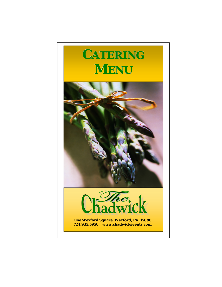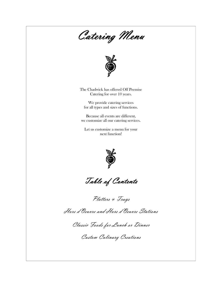Catering Menu



The Chadwick has offered Off Premise Catering for over 10 years.

We provide catering services for all types and sizes of functions.

Because all events are different, we customize all our catering services.

Let us customize a menu for your next function!



Table of Contents

Platters & Trays

Hors d'Oeuvre and Hors d'Oeuvre Stations

Classic Foods for Lunch or Dinner

Custom Culinary Creations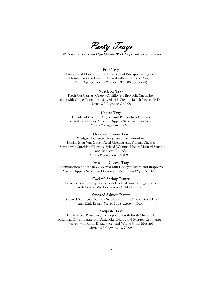Party Trays

All Trays are served on High Quality Black Disposable Serving Trays

# Fruit Tray

Fresh sliced Honeydew, Cantaloupe, and Pineapple along with Strawberries and Grapes. Served with a Raspberry Yogurt Fruit Dip *Serves 25-30 guests* \$ 55.00 (Seasonal)

### Vegetable Tray

Fresh Cut Carrots, Celery, Cauliflower, Broccoli, Cucumber along with Grape Tomatoes. Served with Creamy Ranch Vegetable Dip Serves 25-30 guests \$ 49.00

## Cheese Tray

Chunks of Cheddar, CoJack and Pepper Jack Cheeses served with Honey Mustard Dipping Sauce and Crackers. Serves 25-30 guests \$ 69.00

## Gourmet Cheese Tray

Wedges of Cheeses that guests slice themselves. Danish Bleu Van Gough Aged Cheddar and Fontina Cheese. Served with Sundried Cherries, Spiced Walnuts, Honey Mustard Sauce and Baquette Rounds. Serves 25-30 guests \$ 109.00

## Fruit and Cheese Tray

A combination of both trays. Served with Honey Mustard and Raspberry Yogurt Dipping Sauces and Crackers. Serves 25-30 guests \$ 65.00

### Cocktail Shrimp Platter

Large Cocktail Shrimp served with Cocktail Sauce and garnished with Lemon Wedges (60 pcs) Market Price

## Smoked Salmon Platter

Smoked Norwegian Salmon Side served with Capers, Diced Egg and Dark Bread Serves 25-30 guests \$ 99.00

## Antipasto Tray

Thinly sliced Proscuitto, and Pepperoni with Fresh Mozzarella Kalamata Olives, Pepperoni, Artichoke Hearts, and Roasted Red Pepper. Served with Rustic Bread Slices and Whole Grain Mustard Serves 25-30 guests \$ 75.00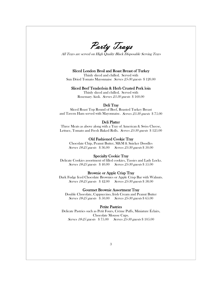Party Trays

All Trays are served on High Quality Black Disposable Serving Trays

## Sliced London Broil and Roast Breast of Turkey

Thinly sliced and chilled. Served with Sun Dried Tomato Mayonnaise Serves 25-30 guests \$ 120.00

## Sliced Beef Tenderloin & Herb Crusted Pork loin

Thinly sliced and chilled. Served with Rosemary Aioli. Serves 25-30 guests \$ 160.00

## Deli Tray

Sliced Roast Top Round of Beef, Roasted Turkey Breast and Tavern Ham served with Mayonnaise. Serves 25-30 guests \$ 75.00

#### Deli Platter

Three Meats as above along with a Tray of American & Swiss Cheese, Lettuce, Tomato and Fresh Baked Rolls. Serves 25-30 guests \$125.00

# Old Fashioned Cookie Tray

Chocolate Chip, Peanut Butter, M&M & Snicker Doodles Serves 18-25 guests \$ 36.00 Serves 25-30 guests \$ 50.00

#### Specialty Cookie Tray

Delicate Cookies assortment of filled cookies, Tassies and Lady Locks. Serves 18-25 guests \$ 40.00 Serves 25-30 guests \$ 55.00

# Brownie or Apple Crisp Tray

Dark Fudge Iced Chocolate Brownies or Apple Crisp Bar with Walnuts. Serves 18-25 guests \$42.00 Serves 25-30 guests \$58.00

# Gourmet Brownie Assortment Tray

Double Chocolate, Cappuccino, Irish Cream and Peanut Butter Serves 18-25 guests \$ 50.00 Serves 25-30 guests \$ 65.00

#### Petite Pastries

Delicate Pastries such as Petit Fours, Crème Puffs, Miniature Éclairs, Chocolate Mousse Cups. Serves 18-25 guests \$ 75.00 Serves 25-30 guests \$ 105.00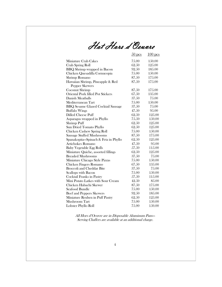Hot Hors d'Oeuvre

|                                           | $50$ pcs | $100$ pcs |
|-------------------------------------------|----------|-----------|
| Miniature Crab Cakes                      | 75.00    | 150.00    |
| Crab Spring Roll                          | 62.50    | 125.00    |
| <b>BBQ</b> Shrimp wrapped in Bacon        | 92.50    | 185.00    |
| Chicken Quesadilla Cornucopia             | 75.00    | 150.00    |
| Shrimp Romano                             | 87.50    | 175.00    |
| Hawaiian Shrimp, Pineapple & Red          | 87.50    | 175.00    |
| <b>Pepper Skewers</b>                     |          |           |
| Coconut Shrimp                            | 87.50    | 175.00    |
| <b>Oriental Pork filled Pot Stickers</b>  | 67.50    | 135.00    |
| Danish Meatballs                          | 37.50    | 75.00     |
| Mediterranean Tart                        | 75.00    | 150.00    |
| <b>BBQ Sesame Glazed Cocktail Sausage</b> | 37.50    | 75.00     |
| <b>Buffalo Wings</b>                      | 47.50    | 95.00     |
| <b>Dilled Cheese Puff</b>                 | 62.50    | 125.00    |
| Asparagus wrapped in Phyllo               | 75.50    | 150.00    |
| Shrimp Puff                               | 62.50    | 125.00    |
| Sun Dried Tomato Phyllo                   | 62.50    | 125.00    |
| Chicken Cashew Spring Roll                | 75.00    | 150.00    |
| Sausage Stuffed Mushrooms                 | 87.50    | 175.00    |
| Spanakopita-Spinach & Feta in Phyllo      | 62.50    | 125.00    |
| Artichokes Romano                         | 47.50    | 95.00     |
| <b>Baby Vegetable Egg Rolls</b>           | 57.50    | 115.00    |
| Miniature Quiche, assorted fillings       | 62.50    | 125.00    |
| <b>Breaded Mushrooms</b>                  | 37.50    | 75.00     |
| Miniature Chicago Style Pizzas            | 75.00    | 150.00    |
| Chicken Fingers Romano                    | 67.50    | 135.00    |
| <b>Broccoli and Cheddar Bite</b>          | 37.50    | 75.00     |
| Scallops with Bacon                       | 75.00    | 150.00    |
| Cocktail Franks in Pastry                 | 57.50    | 115.00    |
| Mini Potato Latkes with Sour Cream        | 42.50    | 85.00     |
| Chicken Habachi Skewer                    | 87.50    | 175.00    |
| Seafood Bundle                            | 75.00    | 150.00    |
| Beef and Peppers Skewers                  | 92.50    | 185.00    |
| Miniature Reuben in Puff Pastry           | 62.50    | 125.00    |
| Mushroom Tart                             | 75.00    | 150.00    |
| Lobster Phyllo Roll                       | 75.00    | 150.00    |

All Hors d'Oeuvre are in Disposable Aluminum Pans— Serving Chaffers are available at an additional charge.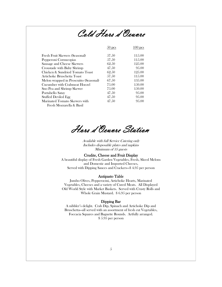

|                                        | $50$ pcs | <b>DCS</b> |
|----------------------------------------|----------|------------|
| Fresh Fruit Skewers (Seasonal)         | 57.50    | 115.00     |
| Pepperoni Cornucopias                  | 57.50    | 115.00     |
| Sausage and Cheese Skewers             | 62.50    | 125.00     |
| Croustade with Baby Shrimp             | 47.50    | 9.5.00     |
| Chicken & Sundried Tomato Toast        | 62.50    | 125.00     |
| Artichoke Bruschetta Toast             | 57.50    | 115.00     |
| Melon wrapped in Proscuitto (Seasonal) | 67.50    | 135.00     |
| Cucumber with Crabmeat Hoezel          | 7.5.00   | 1.50,00    |
| Sno Pea and Shrimp Skewer              | 7.5.00   | 1.50,00    |
| Portabello Satay                       | 47.50    | 9.5.00     |
| Stuffed Deviled Egg                    | 47.50    | 9.5,00     |
| Marinated Tomato Skewers with          | 47.50    | 9.5,00     |
| Fresh Mozzarella & Basil               |          |            |

Hors d'Oeuvre Station

Available with full Service Catering only Includes disposable plates and napkins Minimum of 35 guests

# Crudite, Cheese and Fruit Display

A beautiful display of Fresh Garden Vegetables, Fresh, Sliced Melons and Domestic and Imported Cheeses, Served with Dipping Sauces and Crackers—\$ 4.95 per person

## Antipasto Table

Jumbo Olives, Pepperocini, Artichoke Hearts, Marinated Vegetables, Cheeses and a variety of Cured Meats. All Displayed Old World Style with Market Baskets. Served with Crusty Rolls and Whole Grain Mustard. \$ 6.95 per person

# Dipping Bar

A nibbler's delight. Crab Dip, Spinach and Artichoke Dip and Bruschetta—all served with an assortment of fresh cut Vegetables, Foccacia Squares and Baguette Rounds. Artfully arranged. \$ 5.95 per person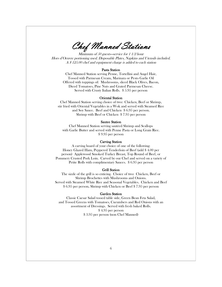Chef Manned Stations

Minimum of 50 guests—service for 1 1/2 hour Hors d'Oeuvre portioning used. Disposable Plates, Napkins and Utensils included. A \$ 125.00 chef and equipment charge is added to each station

#### Pasta Station

Chef Manned Station serving Penne, Tortellini and Angel Hair, Tossed with Parmesan Cream, Marinara or Pesto Garlic Oil Offered with toppings of: Mushrooms, sliced Black Olives, Bacon, Diced Tomatoes, Pine Nuts and Grated Parmesan Cheese. Served with Crusty Italian Rolls. \$ 5.95 per person

### Oriental Station

Chef Manned Station serving choice of two: Chicken, Beef or Shrimp, stir fried with Oriental Vegetables in a Wok and served with Steamed Rice and Soy Sauce. Beef and Chicken \$ 6.95 per person. Shrimp with Beef or Chicken \$ 7.95 per person

# Sautee Station

Chef Manned Station serving sautéed Shrimp and Scallops with Garlic Butter and served with Penne Pasta or Long Grain Rice. \$ 9.95 per person

## Carving Station

A carving board of your choice of one of the following: Honey Glazed Ham, Peppered Tenderloin of Beef (add \$ 4.00 per person) Applewood Smoked Turkey Breast, Top Round of Beef, or Pommery Crusted Pork Loin. Carved by our Chef and served on a variety of Petite Rolls with complimentary Sauces. \$ 6.95 per person

## Grill Station

The sizzle of the grill is so enticing. Choice of two: Chicken, Beef or Shrimp Brochettes with Mushrooms and Onions. Served with Steamed White Rice and Seasonal Vegetables. Chicken and Beef \$ 6.95 per person, Shrimp with Chicken or Beef \$ 7.95 per person

## Garden Station

Classic Caesar Salad tossed table side, Green Bean Feta Salad, and Tossed Greens with Tomatoes, Cucumbers and Red Onions with an assortment of Dressings. Served with fresh baked Rolls. \$ 4.95 per person \$ 3.95 per person (non Chef Manned)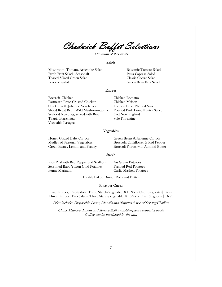Chadwick Buffet Selections

Minimum of 20 Guests

#### Salads

Mushroom, Tomato, Artichoke Salad Balsamic Tomato Salad Fresh Fruit Salad (Seasonal) Pasta Caprese Salad Tossed Mixed Green Salad Broccoli Salad Green Bean Feta Salad

#### Entrees

Foccacia Chicken Chicken Romano Parmesan Pesto Crusted Chicken Chicken with Julienne Vegetables London Broil, Natural Sauce Sliced Roast Beef, Wild Mushroom jus lie Roasted Pork Loin, Hunter Sauce Seafood Newburg, served with Rice Cod New England Tilapia Bruschetta Sole Florentine Vegetable Lasagna

# Vegetables

Honey Glazed Baby Carrots Green Beans & Julienne Carrots

Medley of Seasonal Vegetables Broccoli, Cauliflower & Red Pepper Green Beans, Lemon and Parsley Broccoli Florets with Almond Butter

# Starch

Rice Pilaf with Red Pepper and Scallions Au Gratin Potatoes Seasoned Baby Yukon Gold Potatoes Parslied Red Potatoes Penne Marinara Garlic Mashed Potatoes

Freshly Baked Dinner Rolls and Butter

#### Price per Guest:

Two Entrees, Two Salads, Three Starch/Vegetable \$ 15.95 - Over 35 guests \$ 14.95 Three Entrees, Two Salads, Three Starch/Vegetable \$ 18.95 - Over 35 guests \$ 16.95

Price includes Disposable Plates, Utensils and Napkins & use of Serving Chaffers

China, Flatware, Linens and Service Staff available—please request a quote Coffee can be purchased by the urn.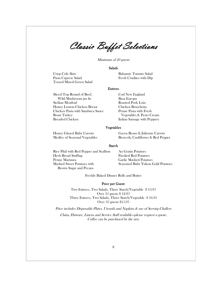Classic Buffet Selections

Minimum of 20 guests

#### Salads

Crisp Cole Slaw Balsamic Tomato Salad<br>Pasta Caprese Salad Fresh Crudites with Dip Tossed Mixed Green Salad

Fresh Crudites with Dip

#### Entrees

Sliced Top Round of Beef, Cod New England Wild Mushroom jus lie Basa Europa Honey Lemon Chicken Breast Chicken Bruschetta Chicken Pasta with Sambuca Sauce Penne Pasta with Fresh Roast Turkey Vegetables & Pesto Cream

Roasted Pork Loin Italian Sausage with Peppers

#### Vegetables

Honey Glazed Baby Carrots Green Beans & Julienne Carrots Medley of Seasonal Vegetables Broccoli, Cauliflower & Red Pepper

#### Starch

Rice Pilaf with Red Pepper and Scallion Au Gratin Potatoes Herb Bread Stuffing Parslied Red Potatoes Penne Marinara Garlic Mashed Potatoes Mashed Sweet Potatoes with Seasoned Baby Yukon Gold Potatoes Brown Sugar and Pecans

Freshly Baked Dinner Rolls and Butter

## Price per Guest:

Two Entrees, Two Salads, Three Starch/Vegetable \$ 13.95 Over 35 guests \$ 12.95 Three Entrees, Two Salads, Three Starch/Vegetable \$ 16.95 Over 35 guests \$15.95

Price includes Disposable Plates, Utensils and Napkins & use of Serving Chaffers China, Flatware, Linens and Service Staff available—please request a quote. Coffee can be purchased by the urn.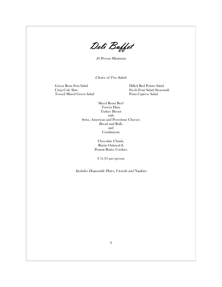Deli Buffet

20 Person Minimum

Choice of Two Salads

 Green Bean Feta Salad Dilled Red Potato Salad Tossed Mixed Green Salad

Fresh Fruit Salad (Seasonal)<br>Pasta Caprese Salad

Sliced Roast Beef Tavern Ham Turkey Breast with Swiss, American and Provolone Cheeses Bread and Rolls and Condiments

> Chocolate Chunk, Raisin Oatmeal & Peanut Butter Cookies

\$ 11.95 per person

Includes Disposable Plates, Utensils and Napkins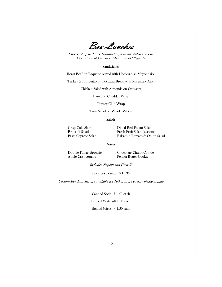Box Lunches

Choice of up to Three Sandwiches, with one Salad and one Dessert for all Lunches. Minimum of 20 guests.

## Sandwiches

Roast Beef on Baquette served with Horseradish Mayonnaise

Turkey & Proscuitto on Foccacia Bread with Rosemary Aioli

Chicken Salad with Almonds on Croissant

Ham and Cheddar Wrap

Turkey Club Wrap

Tuna Salad on Whole Wheat

#### Salads

 Crisp Cole Slaw Dilled Red Potato Salad Broccoli Salad Fresh Fruit Salad (seasonal)<br>Pasta Caprese Salad Balsamic Tomato & Onion Balsamic Tomato & Onion Salad

#### Dessert

Apple Crisp Square Peanut Butter Cookie

Double Fudge Brownie Chocolate Chunk Cookie

Includes Napkin and Utensils

Price per Person: \$ 10.95

Custom Box Lunches are available for 100 or more guests—please inquire

Canned Soda—\$ 1.50 each

Bottled Water—\$ 1.50 each

Bottled Juices—\$ 1.50 each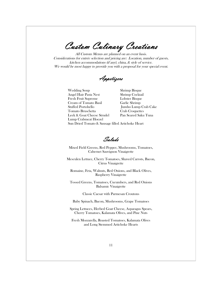Custom Culinary Creations

All Custom Menus are planned on an event basis. Considerations for entrée selection and pricing are: Location, number of guests, kitchen accommodations (if any), china, & style of service. We would be most happy to provide you with a proposal for your special event.

Appetizers

Wedding Soup Shrimp Bisque Angel Hair Pasta Nest Shrimp Cocktail Fresh Fruit Supreme Lobster Bisque Cream of Tomato Basil Garlic Shrimp Stuffed Portobello Jumbo Lump Crab Cake Tomato Bruschetta Crab Croquettes Leek & Goat Cheese Strudel Pan Seared Saku Tuna Lump Crabmeat Hoezel Sun Dried Tomato & Sausage filled Artichoke Heart

Salads

Mixed Field Greens, Red Pepper, Mushrooms, Tomatoes, Cabernet Sauvignon Vinaigrette

Mesculen Lettuce, Cherry Tomatoes, Shaved Carrots, Bacon, Citrus Vinaigrette

Romaine, Feta, Walnuts, Red Onions, and Black Olives, Raspberry Vinaigrette

Tossed Greens, Tomatoes, Cucumbers, and Red Onions Balsamic Vinaigrette

Classic Caesar with Parmesan Croutons

Baby Spinach, Bacon, Mushrooms, Grape Tomatoes

Spring Lettuces, Herbed Goat Cheese, Asparagus Spears, Cherry Tomatoes, Kalamata Olives, and Pine Nuts

Fresh Mozzarella, Roasted Tomatoes, Kalamata Olives and Long Stemmed Artichoke Hearts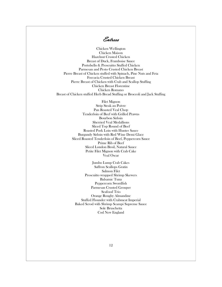Entrees

Chicken Wellington Chicken Maison Hazelnut Crusted Chicken Breast of Duck, Framboise Sauce Portobello & Proscuitto Stuffed Chicken Parmesan and Pesto Crusted Chicken Breast Pierre Breast of Chicken stuffed with Spinach, Pine Nuts and Feta Foccacia Crusted Chicken Breast Pierre Breast of Chicken with Crab and Scallop Stuffing Chicken Breast Florentine Chicken Romano Breast of Chicken stuffed Herb Bread Stuffing or Broccoli and Jack Stuffing

> Filet Mignon Strip Steak au Poivre Pan Roasted Veal Chop Tenderloin of Beef with Grilled Prawns Bourbon Sirloin Sherried Veal Medallions Sliced Top Round of Beef Roasted Pork Loin with Hunter Sauce Burgundy Sirloin with Red Wine Demi Glace Sliced Roasted Tenderloin of Beef, Peppercorn Sauce Prime Rib of Beef Sliced London Broil, Natural Sauce Petite Filet Mignon with Crab Cake Veal Oscar

Jumbo Lump Crab Cakes Saffron Scallops Gratin Salmon Filet Proscuitto wrapped Shrimp Skewers Balsamic Tuna Peppercorn Swordfish Parmesan Crusted Grouper Seafood Trio Orange Roughy Almandine Stuffed Flounder with Crabmeat Imperial Baked Scrod with Shrimp Scampi Supreme Sauce Sole Bruschetta Cod New England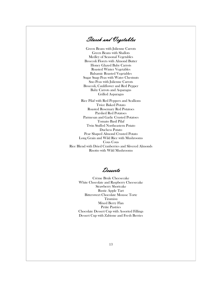Starch and Vegetables

Green Beans with Julienne Carrots Green Beans with Shallots Medley of Seasonal Vegetables Broccoli Florets with Almond Butter Honey Glazed Baby Carrots Roasted Winter Vegetables Balsamic Roasted Vegetables Sugar Snap Peas with Water Chestnuts Sno Peas with Julienne Carrots Broccoli, Cauliflower and Red Pepper Baby Carrots and Asparagus Grilled Asparagus

Rice Pilaf with Red Peppers and Scallions Twice Baked Potato Roasted Rosemary Red Potatoes Parslied Red Potatoes Parmesan and Garlic Crusted Potatoes Tomato Basil Pilaf Twin Stuffed Northeastern Potato Duchess Potato Pear Shaped Almond Crusted Potato Long Grain and Wild Rice with Mushrooms Cous Cous Rice Blend with Dried Cranberries and Slivered Almonds Risotto with Wild Mushrooms

Desserts

Crème Brule Cheesecake White Chocolate and Raspberry Cheesecake Strawberry Shortcake Rustic Apple Tart Bittersweet Chocolate Mousse Torte Tiramisu Mixed Berry Flan Petite Pastries Chocolate Dessert Cup with Assorted Fillings Dessert Cup with Zabione and Fresh Berries